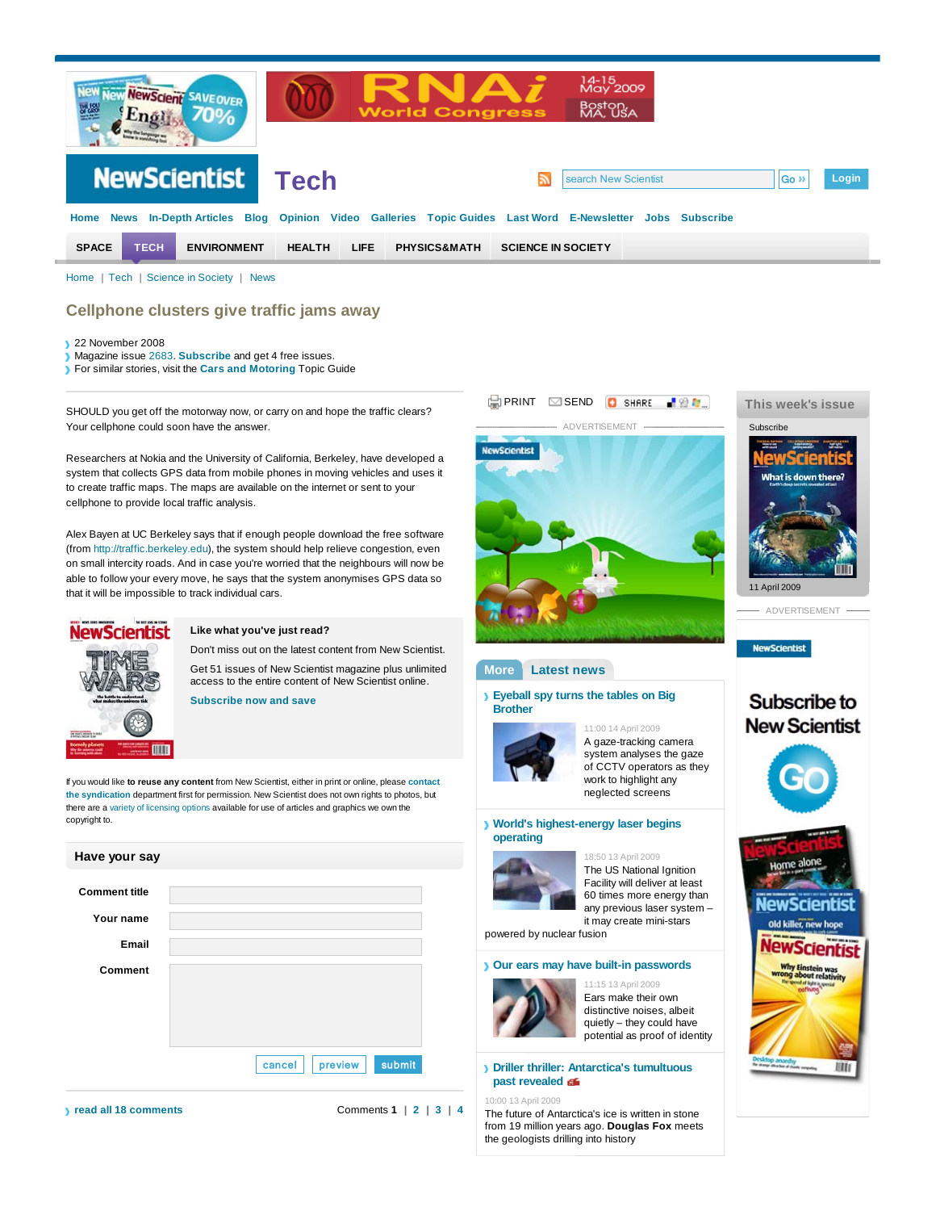

Home | Tech | Science in Society | News

## **Cellphone clusters give traffic jams away**

- 22 November 2008
- Magazine issue 2683. **Subscribe** and get 4 free issues.
- For similar stories, visit the **Cars and Motoring** Topic Guide

SHOULD you get off the motorway now, or carry on and hope the traffic clears? Your cellphone could soon have the answer.

Researchers at Nokia and the University of California, Berkeley, have developed a system that collects GPS data from mobile phones in moving vehicles and uses it to create traffic maps. The maps are available on the internet or sent to your cellphone to provide local traffic analysis.

Alex Bayen at UC Berkeley says that if enough people download the free software (from http://traffic.berkeley.edu), the system should help relieve congestion, even on small intercity roads. And in case you're worried that the neighbours will now be able to follow your every move, he says that the system anonymises GPS data so that it will be impossible to track individual cars.



## **Like what you've just read?**

Don't miss out on the latest content from New Scientist. Get 51 issues of New Scientist magazine plus unlimited

access to the entire content of New Scientist online. **Subscribe now and save**

If you would like **to reuse any content** from New Scientist, either in print or online, please **contact the syndication** department first for permission. New Scientist does not own rights to photos, but there are a variety of licensing options available for use of articles and graphics we own the copyright to.







**IIII** 

**past revealed** 10:00 13 April 2009

The future of Antarctica's ice is written in stone from 19 million years ago. **Douglas Fox** meets the geologists drilling into history

**Driller thriller: Antarctica's tumultuous**